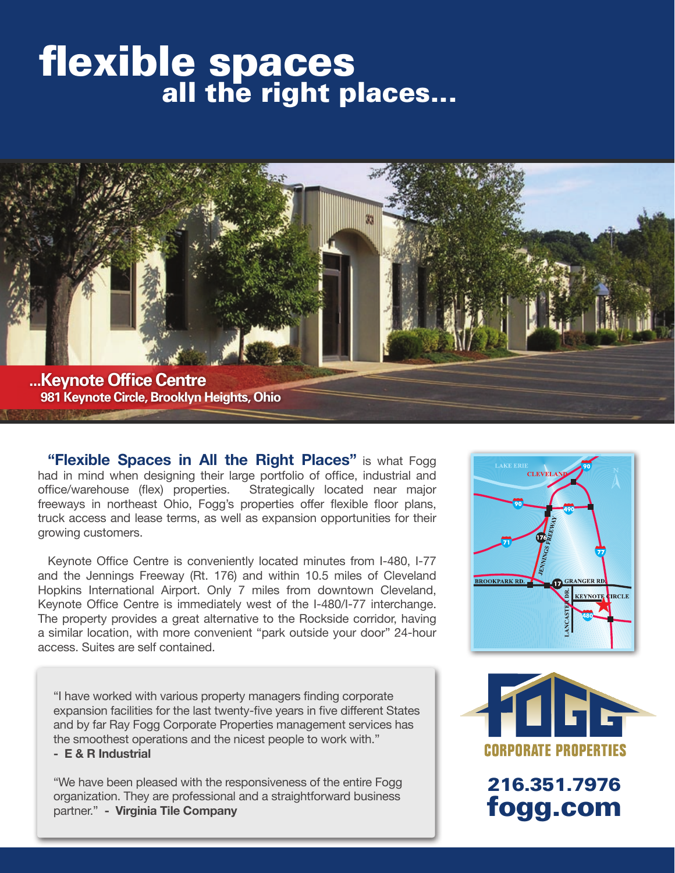# flexible spaces<br>all the right places...



**"Flexible Spaces in All the Right Places"** is what Fogg had in mind when designing their large portfolio of office, industrial and office/warehouse (flex) properties. Strategically located near major freeways in northeast Ohio, Fogg's properties offer flexible floor plans, truck access and lease terms, as well as expansion opportunities for their growing customers.

Keynote Office Centre is conveniently located minutes from I-480, I-77 and the Jennings Freeway (Rt. 176) and within 10.5 miles of Cleveland Hopkins International Airport. Only 7 miles from downtown Cleveland, Keynote Office Centre is immediately west of the I-480/I-77 interchange. The property provides a great alternative to the Rockside corridor, having a similar location, with more convenient "park outside your door" 24-hour access. Suites are self contained.

"I have worked with various property managers finding corporate expansion facilities for the last twenty-five years in five different States and by far Ray Fogg Corporate Properties management services has the smoothest operations and the nicest people to work with."

#### **- E & R Industrial**

"We have been pleased with the responsiveness of the entire Fogg organization. They are professional and a straightforward business partner." **- Virginia Tile Company**





216.351.7976 fogg.com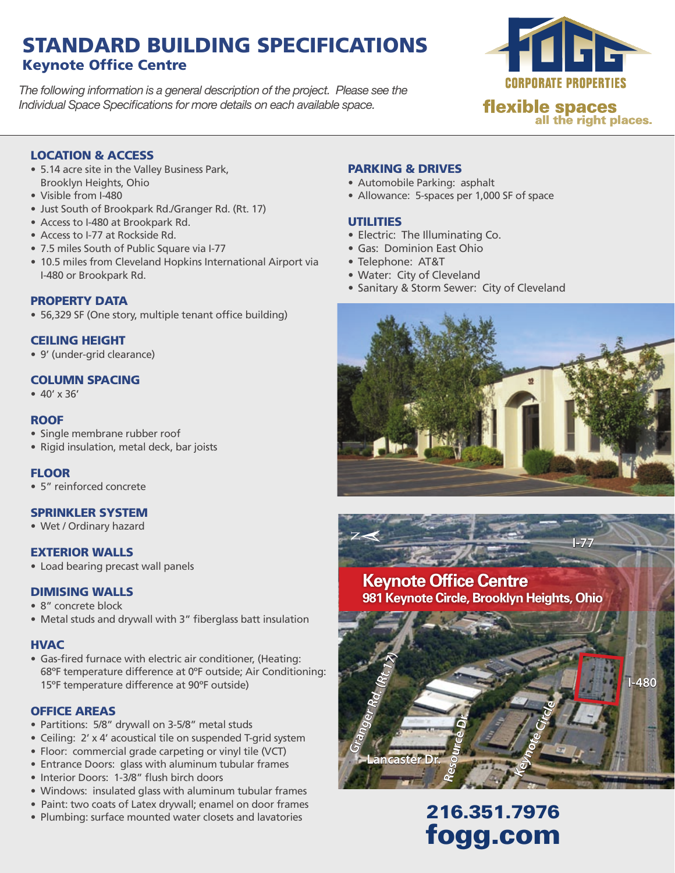# STANDARD BUILDING SPECIFICATIONS Keynote Office Centre

*The following information is a general description of the project. Please see the Individual Space Specifications for more details on each available space.*



#### LOCATION & ACCESS

- 5.14 acre site in the Valley Business Park, Brooklyn Heights, Ohio
- • Visible from I-480
- Just South of Brookpark Rd./Granger Rd. (Rt. 17)
- Access to I-480 at Brookpark Rd.
- Access to I-77 at Rockside Rd.
- 7.5 miles South of Public Square via I-77
- 10.5 miles from Cleveland Hopkins International Airport via I-480 or Brookpark Rd.

#### PROPERTY DATA

• 56,329 SF (One story, multiple tenant office building)

#### CEILING HEIGHT

• 9' (under-grid clearance)

#### COLUMN SPACING

•  $40' \times 36'$ 

#### **ROOF**

- Single membrane rubber roof
- Rigid insulation, metal deck, bar joists

#### **FLOOR**

• 5" reinforced concrete

#### SPRINKLER SYSTEM

• Wet / Ordinary hazard

#### EXTERIOR WALLS

• Load bearing precast wall panels

#### DIMISING WALLS

- 8" concrete block
- Metal studs and drywall with 3" fiberglass batt insulation

#### **HVAC**

• Gas-fired furnace with electric air conditioner, (Heating: 68ºF temperature difference at 0ºF outside; Air Conditioning: 15ºF temperature difference at 90ºF outside)

#### OFFICE AREAS

- Partitions: 5/8" drywall on 3-5/8" metal studs
- Ceiling: 2' x 4' acoustical tile on suspended T-grid system
- Floor: commercial grade carpeting or vinyl tile (VCT)
- Entrance Doors: glass with aluminum tubular frames
- Interior Doors: 1-3/8" flush birch doors
- Windows: insulated glass with aluminum tubular frames
- Paint: two coats of Latex drywall; enamel on door frames
- 

#### PARKING & DRIVES

- Automobile Parking: asphalt
- Allowance: 5-spaces per 1,000 SF of space

#### UTILITIES

 $\mathsf{Z}% _{T}=\mathsf{Z}_{T}\!\left( a,b\right) ,\ \mathsf{Z}_{T}=\mathsf{Z}_{T}\!\left( a,b\right) ,\ \mathsf{Z}_{T}=\mathsf{Z}_{T}\!\left( a,b\right) , \label{eq-qt:Z}%$ 

- Electric: The Illuminating Co.
- • Gas: Dominion East Ohio
- Telephone: AT&T
- • Water: City of Cleveland
- Sanitary & Storm Sewer: City of Cleveland





**Resource Dr.**

# **I-480**

**I-77**

• Paint: two coats of Latex drywall; enamel on door frames<br>• Plumbing: surface mounted water closets and lavatories **216.351.7976** fogg.com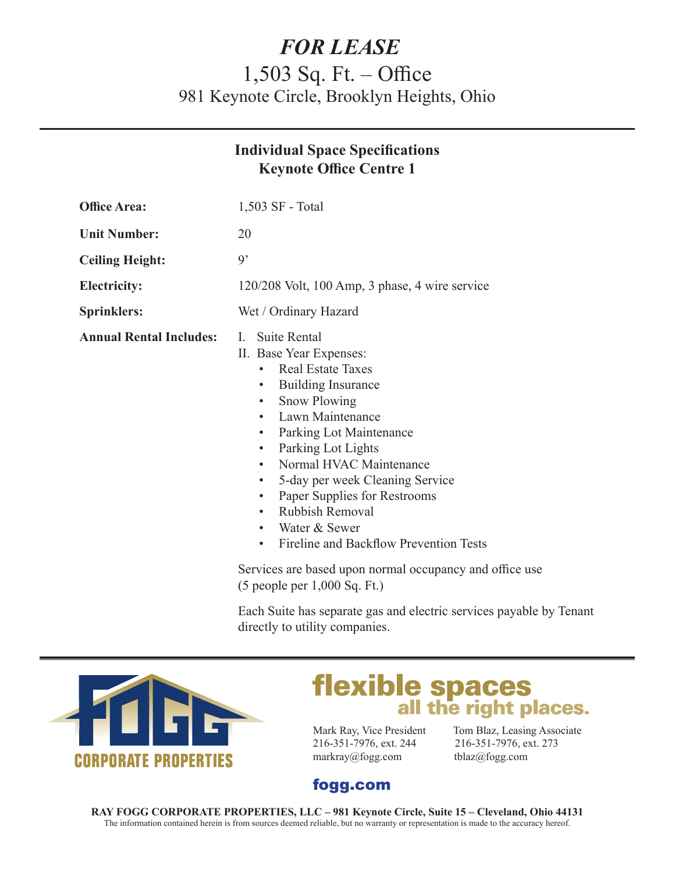# *FOR LEASE*

# 1,503 Sq. Ft. – Office 981 Keynote Circle, Brooklyn Heights, Ohio

|                                | <b>Individual Space Specifications</b><br><b>Keynote Office Centre 1</b>                                                                                                                                                                                                                                                                                                                                                                                                                                                                                                                  |
|--------------------------------|-------------------------------------------------------------------------------------------------------------------------------------------------------------------------------------------------------------------------------------------------------------------------------------------------------------------------------------------------------------------------------------------------------------------------------------------------------------------------------------------------------------------------------------------------------------------------------------------|
| <b>Office Area:</b>            | 1,503 SF - Total                                                                                                                                                                                                                                                                                                                                                                                                                                                                                                                                                                          |
| <b>Unit Number:</b>            | 20                                                                                                                                                                                                                                                                                                                                                                                                                                                                                                                                                                                        |
| <b>Ceiling Height:</b>         | $\ddot{q}$                                                                                                                                                                                                                                                                                                                                                                                                                                                                                                                                                                                |
| <b>Electricity:</b>            | 120/208 Volt, 100 Amp, 3 phase, 4 wire service                                                                                                                                                                                                                                                                                                                                                                                                                                                                                                                                            |
| <b>Sprinklers:</b>             | Wet / Ordinary Hazard                                                                                                                                                                                                                                                                                                                                                                                                                                                                                                                                                                     |
| <b>Annual Rental Includes:</b> | <b>Suite Rental</b><br>L.<br>II. Base Year Expenses:<br><b>Real Estate Taxes</b><br><b>Building Insurance</b><br>$\bullet$<br><b>Snow Plowing</b><br>$\bullet$<br>Lawn Maintenance<br>Parking Lot Maintenance<br>$\bullet$<br>Parking Lot Lights<br>$\bullet$<br>Normal HVAC Maintenance<br>$\bullet$<br>5-day per week Cleaning Service<br>$\bullet$<br>Paper Supplies for Restrooms<br>$\bullet$<br><b>Rubbish Removal</b><br>$\bullet$<br>Water & Sewer<br>$\bullet$<br>Fireline and Backflow Prevention Tests<br>$\bullet$<br>Services are based upon normal occupancy and office use |
|                                |                                                                                                                                                                                                                                                                                                                                                                                                                                                                                                                                                                                           |

(5 people per 1,000 Sq. Ft.)

Each Suite has separate gas and electric services payable by Tenant directly to utility companies.



# **flexible spaces**<br>all the right places.

216-351-7976, ext. 244 216-351-7976, ext. 273 markray@fogg.com tblaz@fogg.com

Mark Ray, Vice President Tom Blaz, Leasing Associate

### fogg.com

**RAY FOGG CORPORATE PROPERTIES, LLC – 981 Keynote Circle, Suite 15 – Cleveland, Ohio 44131** The information contained herein is from sources deemed reliable, but no warranty or representation is made to the accuracy hereof.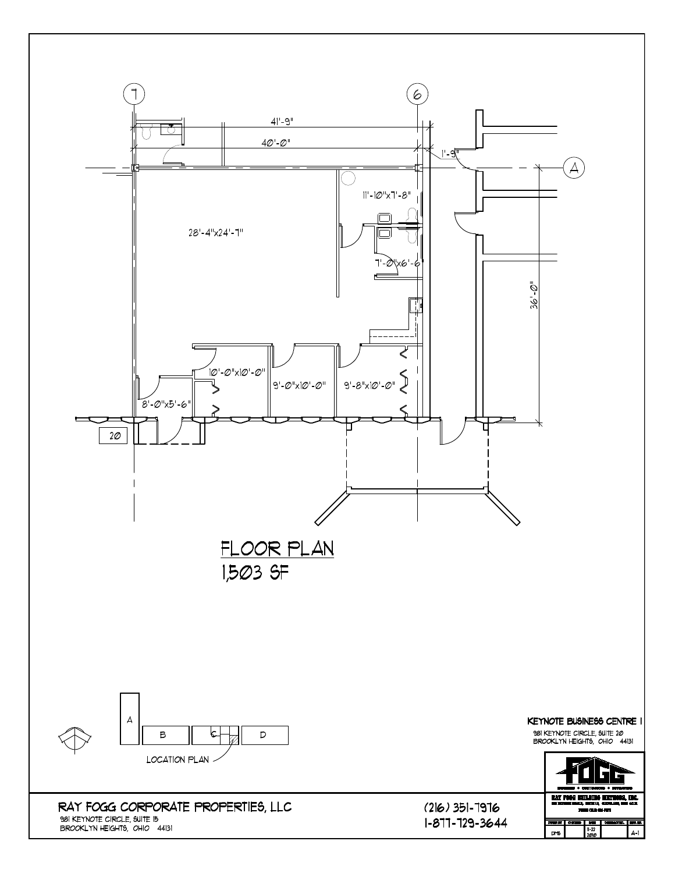